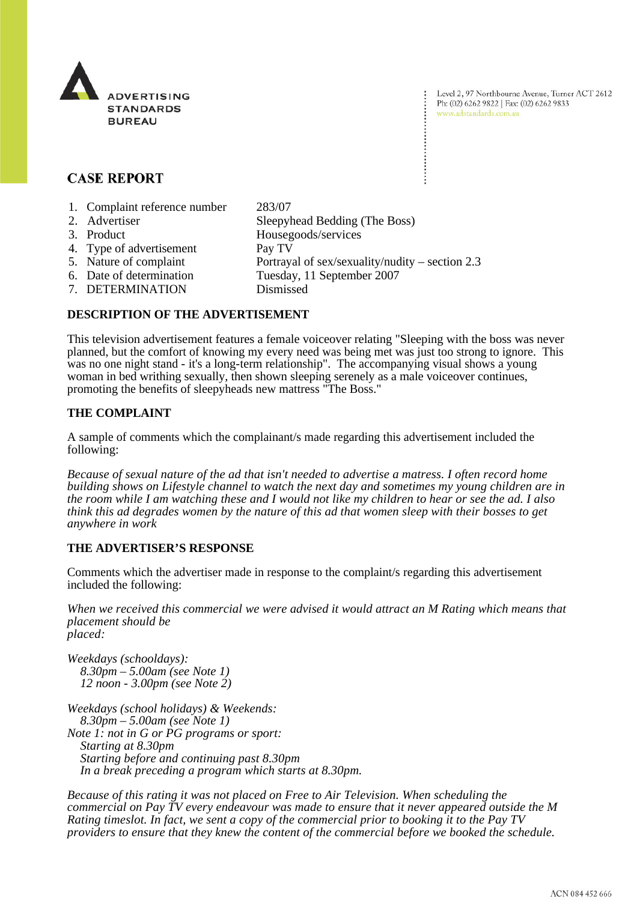

Level 2, 97 Northbourne Avenue, Turner ACT 2612 Ph: (02) 6262 9822 | Fax: (02) 6262 9833 www.adstandards.com.au

# **CASE REPORT**

- 1. Complaint reference number 283/07
- 2. Advertiser Sleepyhead Bedding (The Boss)
- 3. Product Housegoods/services
- 4. Type of advertisement Pay TV
- 
- 
- 
- 7. DETERMINATION Dismissed
- 5. Nature of complaint Portrayal of sex/sexuality/nudity section 2.3 6. Date of determination Tuesday, 11 September 2007

### **DESCRIPTION OF THE ADVERTISEMENT**

This television advertisement features a female voiceover relating "Sleeping with the boss was never planned, but the comfort of knowing my every need was being met was just too strong to ignore. This was no one night stand - it's a long-term relationship". The accompanying visual shows a young woman in bed writhing sexually, then shown sleeping serenely as a male voiceover continues, promoting the benefits of sleepyheads new mattress "The Boss."

## **THE COMPLAINT**

A sample of comments which the complainant/s made regarding this advertisement included the following:

*Because of sexual nature of the ad that isn't needed to advertise a matress. I often record home building shows on Lifestyle channel to watch the next day and sometimes my young children are in the room while I am watching these and I would not like my children to hear or see the ad. I also think this ad degrades women by the nature of this ad that women sleep with their bosses to get anywhere in work*

## **THE ADVERTISER'S RESPONSE**

Comments which the advertiser made in response to the complaint/s regarding this advertisement included the following:

*When we received this commercial we were advised it would attract an M Rating which means that placement should be placed:*

*Weekdays (schooldays): 8.30pm – 5.00am (see Note 1) 12 noon - 3.00pm (see Note 2)*

*Weekdays (school holidays) & Weekends: 8.30pm – 5.00am (see Note 1) Note 1: not in G or PG programs or sport: Starting at 8.30pm Starting before and continuing past 8.30pm In a break preceding a program which starts at 8.30pm.*

*Because of this rating it was not placed on Free to Air Television. When scheduling the commercial on Pay TV every endeavour was made to ensure that it never appeared outside the M Rating timeslot. In fact, we sent a copy of the commercial prior to booking it to the Pay TV providers to ensure that they knew the content of the commercial before we booked the schedule.*